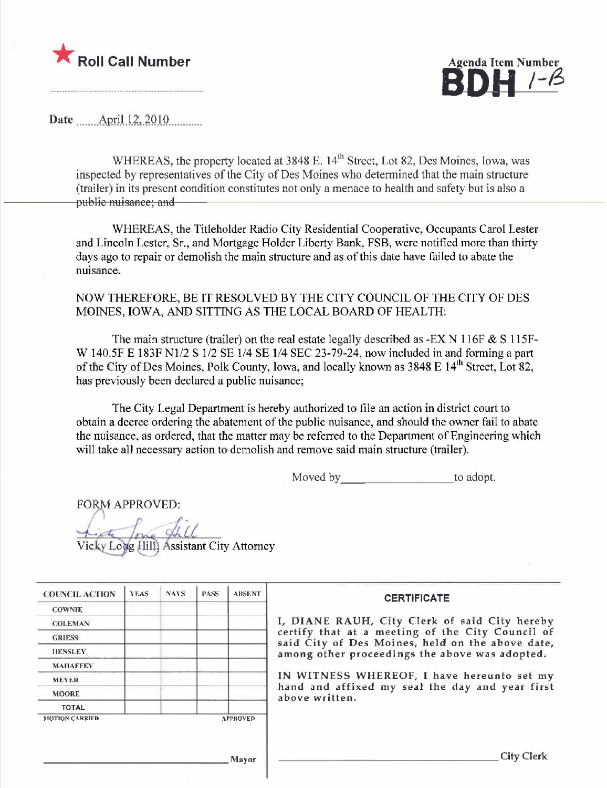

<u>|-B</u>

Date  $\quad$  April 12, 2010

WHEREAS, the property located at 3848 E. 14<sup>th</sup> Street, Lot 82, Des Moines, Iowa, was inspected by representatives of the City of Des Moines who determined that the main structure (trailer) in its present condition constitutes not only a menace to health and safety but is also a public nuisance; and

WHEREAS, the Titleholder Radio City Residential Cooperative, Occupants Carol Lester and Lincoln Lester, Sr., and Mortgage Holder Liberty Bank, FSB, were notified more than thirty days ago to repair or demolish the main structure and as of this date have failed to abate the nuisance.

### NOW THEREFORE, BE IT RESOLVED BY THE CITY COUNCIL OF THE CITY OF DES MOINES, IOWA, AND SITTING AS THE LOCAL BOARD OF HEALTH:

The main structure (trailer) on the real estate legally described as -EX N 116F  $&$  S 115F-W 140.5F E 183F N1/2 S 1/2 SE 1/4 SE 1/4 SEC 23-79-24, now included in and forming a part of the City of Des Moines, Polk County, Iowa, and locally known as 3848 E 14<sup>th</sup> Street, Lot 82. has previously been declared a public nuisance;

The City Legal Department is hereby authorized to file an action in district court to obtain a decree ordering the abatement of the public nuisance, and should the owner fail to abate the nuisance, as ordered, that the matter may be referred to the Department of Engineering which will take all necessary action to demolish and remove said main structure (trailer).

Moved by to adopt.

FORM APPROVED:

Vicky Long Hill Assistant City Attorney

| <b>YEAS</b> | <b>NAYS</b> | <b>PASS</b> | <b>ABSENT</b> | <b>CERTIFICATE</b>                                                                                   |
|-------------|-------------|-------------|---------------|------------------------------------------------------------------------------------------------------|
|             |             |             |               |                                                                                                      |
|             |             |             |               | I, DIANE RAUH, City Clerk of said City hereby                                                        |
|             |             |             |               | certify that at a meeting of the City Council of<br>said City of Des Moines, held on the above date, |
|             |             |             |               | among other proceedings the above was adopted.                                                       |
|             |             |             |               |                                                                                                      |
|             |             |             |               | IN WITNESS WHEREOF, I have hereunto set my                                                           |
|             |             |             |               | hand and affixed my seal the day and year first<br>above written.                                    |
|             |             |             |               |                                                                                                      |
|             |             |             |               |                                                                                                      |
|             |             |             |               |                                                                                                      |
|             |             |             |               |                                                                                                      |
|             |             |             |               | <b>City Clerk</b>                                                                                    |
|             |             |             |               | <b>APPROVED</b><br>Mavor                                                                             |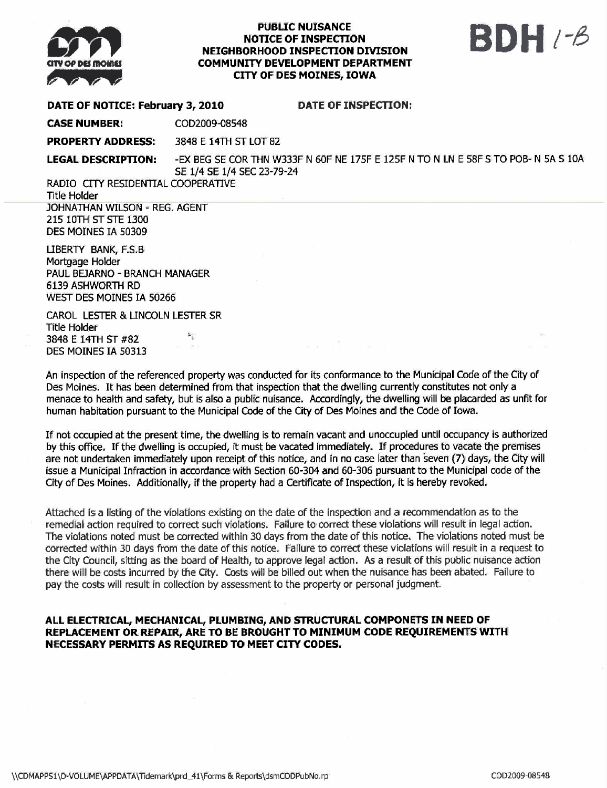

#### **PUBLIC NUISANCE** NOTICE OF INSPECTON NEIGHBORHOOD INSPECTON DIVISION COMMUNITY DEVELOPMENT DEPARTMENT CITY OF DES MOINES, IOWA

# BDH 1-6

DATE OF NOTICE: February 3, 2010 DATE OF INSPECTION:

CASE NUMBER: COD2009-08548

PROPERTY ADDRESS: 3848 E 14TH ST LOT 82

LEGAL DESCRIPTION: - EX BEG SE COR THN W333F N 60F NE 175F E 125F N TO N LN E 58F S TO POB- N 5A S 10A SE 1/4 SE 1/4 SEC 23-79-24

RADIO CITY RESIDENTIAL COOPERATIVE **Title Holder** JOHNATHAN WILSON - REG. AGENT

215 10TH ST STE 1300 DES MOINES IA 50309

LIBERTY BANK, F.S.B Mortgage Holder PAUL BEJARNO - BRANCH MANAGER 6139 ASHWORTH RD WEST DES MOINES IA 50266

CAROL LESTER & LINCOLN LESTER SR Title Holder 3848 E 14TH ST #82 DES MOINES IA 50313

An inspection of the referenced property was conducted for its conformance to the Municipal Code of the City of Des Moines. It has been determined from that inspecion that the dwelling currently constitutes not only a menace to health and safety, but is also a public nuisance. Accordingly, the dwelling wil be placarded as unfit for human habitation pursuant to the Municipal Code of the City of Des Moines and the Code of Iowa.

If not occupied at the present time, the dwelling is to remain vacant and unoccupied until ocupancy is authorized by this office. If the dwelling is occupied, it must be vacated immediately. If procedures to vacate the premises are not undertaken immediately upon receipt of this notice, and in no case later than seven (7) days, the City wil issue a Municipal Infraction in accordance with Section 60-304 and 60-306 pursuant to the Municipal code of the City of Des Moines. Additionally, if the property had a Certificate of Inspection, it is hereby revoked.

Attached is a listing of the violations existing on the date of the inspection and a recommendation as to the remedial action required to correct such violations. Failure to correc these violations wil result in legal action. The violations noted must be corrected within 30 days from the date of this notice. The violations noted must be corrected within 30 days from the date of this notice. Failure to correct these violations will result in a request to the City Council, sitting as the board of Health, to approve legal action. As a result of this public nuisance action there wil be costs incurred by the City. Costs wil be biled out when the nuisance has been abated. Failure to pay the costs will result in collection by assessment to the property or personal judgment.

### ALL ELECTRICAL, MECHANICAL, PLUMBING, AND STRUCTURAL COMPONETS IN NEED OF REPLACEMENT OR REPAIR, ARE TO BE BROUGHT TO MINIMUM CODE REQUIREMENTS WITH NECESSARY PERMITS AS REQUIRED TO MEET CITY CODES.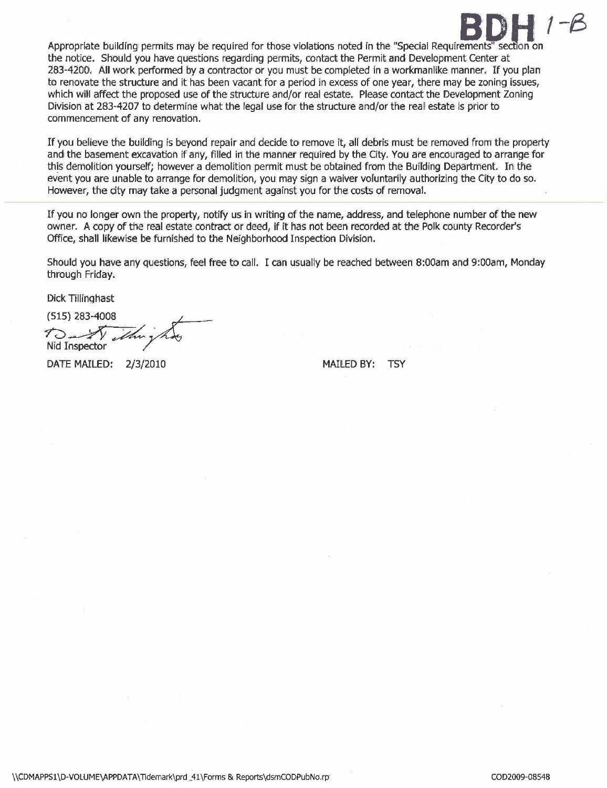

Appropriate building permits may be required for those violations noted in the "Special Requirements" section on the notice. Should you have questions regarding permits, contact the Permit and Development Center at 283-4200. All work performed by a contractor or you must be completed in a workmanlike manner. If you plan to renovate the structure and it has been vacant for a period in excess of one year, there may be zoning issues, which will affect the proposed use of the structure and/or real estate. Please contact the Development Zoning Division at 283-4207 to determine what the legal use for the structure and/or the real estate is prior to commencement of any renovation.

If you believe the building is beyond repair and decide to remove it, all debris must be removed from the propert and the basement excavation if any, filled in the manner required by the City. You are encouraged to arrange for this demolition yourself; however a demolition permit must be obtained from the Building Department. In the event you are unable to arrange for demolition, you may sign a waiver voluntarily authorizing the City to do so. However, the city may take a personal judgment against you for the costs of removaL.

If you no longer own the property, notify us in writing of the name, address, and telephone number of the new owner. A copy of the real estate contract or deed, if it has not been recorded at the Polk county Recorder's Office, shall likewise be furnished to the Neighborhood Inspection Division.

Should you have any questions, feel free to cali. I can usually be reached between 8:00am and 9:00am, Monday through Friday.

Dick Tillinghast

(515) 283-4008<br> $\pi$   $\sqrt{m}$   $\pi$ Nid Inspector

DATE MAILED: 2/3/2010 MAILED BY: TSY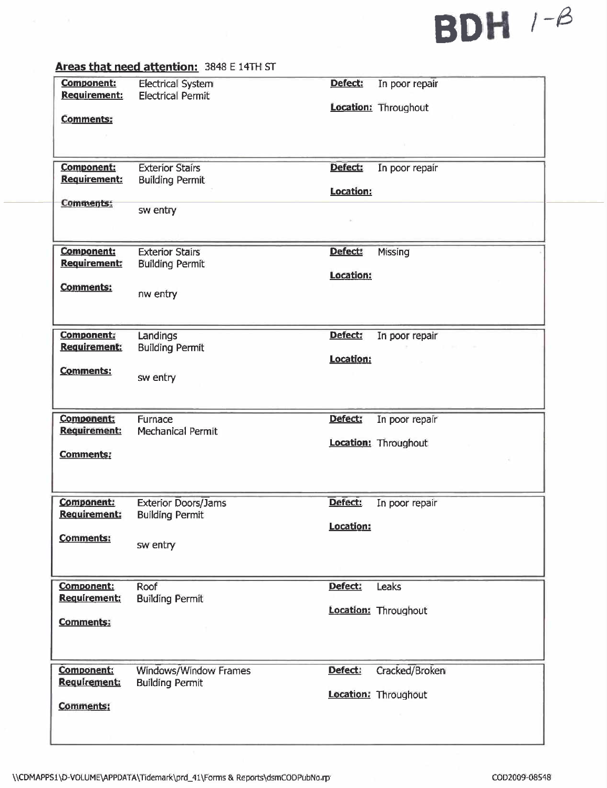# SDH /-8

## Areas that need attention: 3848 E 14TH ST

| <b>Component:</b><br><b>Requirement:</b><br><b>Comments:</b> | <b>Electrical System</b><br><b>Electrical Permit</b>             | Defect:              | In poor repair<br><b>Location: Throughout</b> |
|--------------------------------------------------------------|------------------------------------------------------------------|----------------------|-----------------------------------------------|
| <b>Component:</b><br><b>Requirement:</b><br>Comments:        | <b>Exterior Stairs</b><br><b>Building Permit</b><br>sw entry     | Defect:<br>Location: | In poor repair                                |
| <b>Component:</b><br><b>Requirement:</b><br><b>Comments:</b> | <b>Exterior Stairs</b><br><b>Building Permit</b><br>nw entry     | Defect:<br>Location: | Missing                                       |
| <b>Component:</b><br><b>Requirement:</b><br><b>Comments:</b> | Landings<br><b>Building Permit</b><br>sw entry                   | Defect:<br>Location: | In poor repair                                |
| Component:<br><b>Requirement:</b><br><b>Comments:</b>        | Furnace<br><b>Mechanical Permit</b>                              | Defect:              | In poor repair<br>Location: Throughout        |
| <b>Component:</b><br><b>Requirement:</b><br><b>Comments:</b> | <b>Exterior Doors/Jams</b><br><b>Building Permit</b><br>sw entry | Defect:<br>Location: | In poor repair                                |
| Component:<br>Requirement:<br><b>Comments:</b>               | Roof<br><b>Building Permit</b>                                   | Defect:              | Leaks<br>Location: Throughout                 |
| <b>Component:</b><br>Requirement:<br>Comments:               | Windows/Window Frames<br><b>Building Permit</b>                  | Defect:              | Cracked/Broken<br>Location: Throughout        |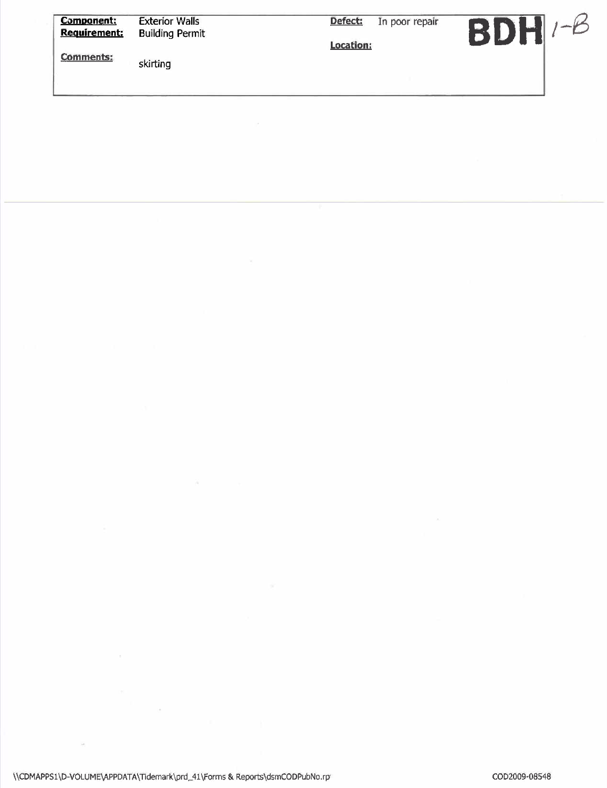| <b>Component:</b><br><b>Requirement:</b> | <b>Exterior Walls</b><br><b>Building Permit</b> | Defect:<br>In poor repair<br>Location: | BDH |
|------------------------------------------|-------------------------------------------------|----------------------------------------|-----|
| Comments:                                | skirting                                        |                                        |     |
|                                          |                                                 |                                        |     |

 $\overline{\nu}$ 

 $\mathcal{F}^{\mathcal{F}}$  and  $\mathcal{F}^{\mathcal{F}}$ 

 $\frac{1}{\sqrt{2}}$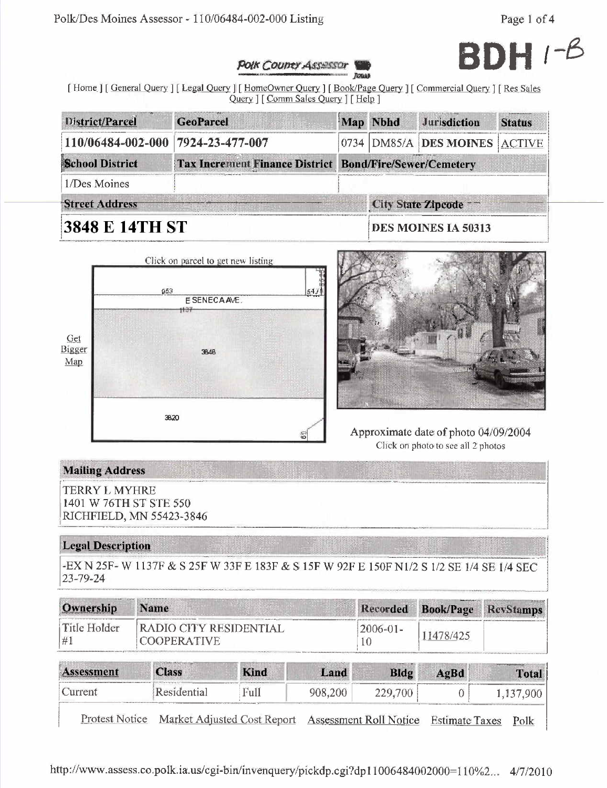

### **POIK COUNTY ASSESSOR**

[Home ] [General Query ] [Legal Query ] [HomeOwner Query ] [Book/Page Query ] [Commercial Query ] [Res Sales Query ] [ Comm Sales Query ] [ Help ]

| District/Parcel                                                 | <b>GeoParcel</b> |                                 | Map Nbhd | <b>Jurisdiction</b>           | <b>Status</b> |  |
|-----------------------------------------------------------------|------------------|---------------------------------|----------|-------------------------------|---------------|--|
| 110/06484-002-000 7924-23-477-007                               |                  |                                 |          | 0734 DM85/A DES MOINES ACTIVE |               |  |
| <b>School District</b><br><b>Tax Increment Finance District</b> |                  | <b>Bond/Fire/Sewer/Cemetery</b> |          |                               |               |  |
| 1/Des Moines                                                    |                  |                                 |          |                               |               |  |
| <b>Street Address</b>                                           |                  |                                 |          | City State Zipcode --         |               |  |
| 3848 E 14TH ST                                                  |                  |                                 |          | DES MOINES IA 50313           |               |  |





Approximate date of photo 04/09/2004 Click on photo to see all 2 photos

# **Mailing Address**

**TERRY L MYHRE** 1401 W 76TH ST STE 550 RICHFIELD, MN 55423-3846

# **Legal Description**

-EX N 25F-W 1137F & S 25F W 33F E 183F & S 15F W 92F E 150F N1/2 S 1/2 SE 1/4 SE 1/4 SEC  $23 - 79 - 24$ 

| Ownership          | <b>Name</b>                                           |      |         | <b>Recorded</b> | <b>Book/Page</b> | 39102103102103<br><b>RevStamps</b> |
|--------------------|-------------------------------------------------------|------|---------|-----------------|------------------|------------------------------------|
| Title Holder<br>#1 | <b>(RADIO CITY RESIDENTIAL)</b><br><b>COOPERATIVE</b> |      |         | $2006 - 01 -$   | 11478/425        |                                    |
| ssessment          | <b>STANDARD CONTINUES</b><br><b>Class</b>             | Kind | Land    | Bldg            | AgBd             | <b>Total</b>                       |
| Current            | Residential                                           | Full | 908,200 | 229,700         |                  | 1,137,900                          |

Protest Notice Market Adjusted Cost Report Assessment Roll Notice Estimate Taxes Polk